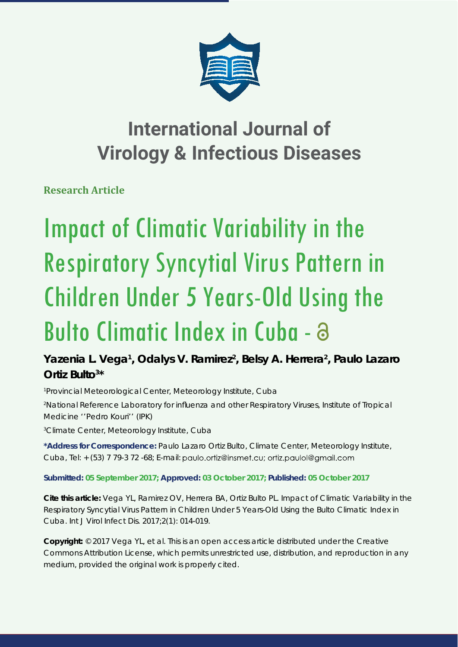

# **International Journal of Virology & Infectious Diseases**

**Research Article** 

# Impact of Climatic Variability in the Respiratory Syncytial Virus Pattern in Children Under 5 Years-Old Using the Bulto Climatic Index in Cuba -

Yazenia L. Vega<sup>1</sup>, Odalys V. Ramirez<sup>2</sup>, Belsy A. Herrera<sup>2</sup>, Paulo Lazaro **Ortiz Bulto3 \***

*1 Provincial Meteorological Center, Meteorology Institute, Cuba 2 National Reference Laboratory for infl uenza and other Respiratory Viruses, Institute of Tropical Medicine ''Pedro Kouri'' (IPK)*

*3 Climate Center, Meteorology Institute, Cuba*

**\*Address for Correspondence:** Paulo Lazaro Ortiz Bulto, Climate Center, Meteorology Institute, Cuba, Tel: + (53) 7 79-3 72 -68; E-mail: paulo.ortiz@insmet.cu; ortiz.paulol@gmail.com

**Submitted: 05 September 2017; Approved: 03 October 2017; Published: 05 October 2017**

**Cite this article:** Vega YL, Ramirez OV, Herrera BA, Ortiz Bulto PL. Impact of Climatic Variability in the Respiratory Syncytial Virus Pattern in Children Under 5 Years-Old Using the Bulto Climatic Index in Cuba. Int J Virol Infect Dis. 2017;2(1): 014-019.

**Copyright:** © 2017 Vega YL, et al. This is an open access article distributed under the Creative Commons Attribution License, which permits unrestricted use, distribution, and reproduction in any medium, provided the original work is properly cited.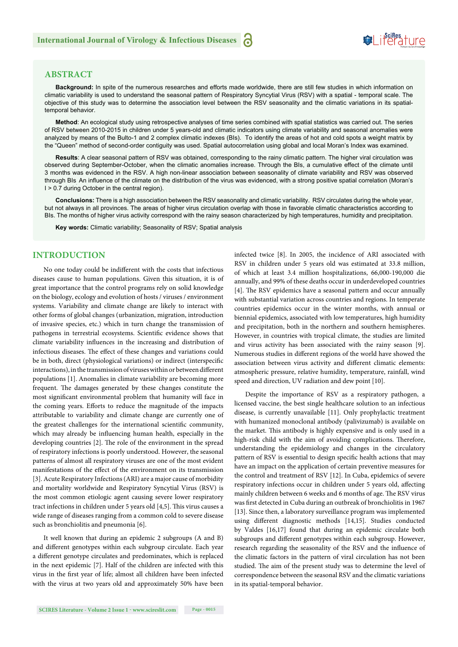# **ABSTRACT**

**Background:** In spite of the numerous researches and efforts made worldwide, there are still few studies in which information on climatic variability is used to understand the seasonal pattern of Respiratory Syncytial Virus (RSV) with a spatial - temporal scale. The objective of this study was to determine the association level between the RSV seasonality and the climatic variations in its spatialtemporal behavior.

**Method**: An ecological study using retrospective analyses of time series combined with spatial statistics was carried out. The series of RSV between 2010-2015 in children under 5 years-old and climatic indicators using climate variability and seasonal anomalies were analyzed by means of the Bulto-1 and 2 complex climatic indexes (BIs). To identify the areas of hot and cold spots a weight matrix by the "Queen" method of second-order contiguity was used. Spatial autocorrelation using global and local Moran's Index was examined.

**Results**: A clear seasonal pattern of RSV was obtained, corresponding to the rainy climatic pattern. The higher viral circulation was observed during September-October, when the climatic anomalies increase. Through the BIs, a cumulative effect of the climate until 3 months was evidenced in the RSV. A high non-linear association between seasonality of climate variability and RSV was observed through BIs. An infl uence of the climate on the distribution of the virus was evidenced, with a strong positive spatial correlation (Moran's I > 0.7 during October in the central region).

**Conclusions:** There is a high association between the RSV seasonality and climatic variability. RSV circulates during the whole year, but not always in all provinces. The areas of higher virus circulation overlap with those in favorable climatic characteristics according to BIs. The months of higher virus activity correspond with the rainy season characterized by high temperatures, humidity and precipitation.

**Key words:** Climatic variability; Seasonality of RSV; Spatial analysis

## **INTRODUCTION**

No one today could be indifferent with the costs that infectious diseases cause to human populations. Given this situation, it is of great importance that the control programs rely on solid knowledge on the biology, ecology and evolution of hosts / viruses / environment systems. Variability and climate change are likely to interact with other forms of global changes (urbanization, migration, introduction of invasive species, etc.) which in turn change the transmission of pathogens in terrestrial ecosystems. Scientific evidence shows that climate variability influences in the increasing and distribution of infectious diseases. The effect of these changes and variations could be in both, direct (physiological variations) or indirect (interspecific interactions), in the transmission of viruses within or between different populations [1]. Anomalies in climate variability are becoming more frequent. The damages generated by these changes constitute the most significant environmental problem that humanity will face in the coming years. Efforts to reduce the magnitude of the impacts attributable to variability and climate change are currently one of the greatest challenges for the international scientific community, which may already be influencing human health, especially in the developing countries [2]. The role of the environment in the spread of respiratory infections is poorly understood. However, the seasonal patterns of almost all respiratory viruses are one of the most evident manifestations of the effect of the environment on its transmission [3]. Acute Respiratory Infections (ARI) are a major cause of morbidity and mortality worldwide and Respiratory Syncytial Virus (RSV) is the most common etiologic agent causing severe lower respiratory tract infections in children under 5 years old [4,5]. This virus causes a wide range of diseases ranging from a common cold to severe disease such as bronchiolitis and pneumonia [6].

It well known that during an epidemic 2 subgroups (A and B) and different genotypes within each subgroup circulate. Each year a different genotype circulates and predominates, which is replaced in the next epidemic [7]. Half of the children are infected with this virus in the first year of life; almost all children have been infected with the virus at two years old and approximately 50% have been infected twice [8]. In 2005, the incidence of ARI associated with RSV in children under 5 years old was estimated at 33.8 million, of which at least 3.4 million hospitalizations, 66,000-190,000 die annually, and 99% of these deaths occur in underdeveloped countries [4]. The RSV epidemics have a seasonal pattern and occur annually with substantial variation across countries and regions. In temperate countries epidemics occur in the winter months, with annual or biennial epidemics, associated with low temperatures, high humidity and precipitation, both in the northern and southern hemispheres. However, in countries with tropical climate, the studies are limited and virus activity has been associated with the rainy season [9]. Numerous studies in different regions of the world have showed the association between virus activity and different climatic elements: atmospheric pressure, relative humidity, temperature, rainfall, wind speed and direction, UV radiation and dew point [10].

Despite the importance of RSV as a respiratory pathogen, a licensed vaccine, the best single healthcare solution to an infectious disease, is currently unavailable [11]. Only prophylactic treatment with humanized monoclonal antibody (palivizumab) is available on the market. This antibody is highly expensive and is only used in a high-risk child with the aim of avoiding complications. Therefore, understanding the epidemiology and changes in the circulatory pattern of RSV is essential to design specific health actions that may have an impact on the application of certain preventive measures for the control and treatment of RSV [12]. In Cuba, epidemics of severe respiratory infections occur in children under 5 years old, affecting mainly children between 6 weeks and 6 months of age. The RSV virus was first detected in Cuba during an outbreak of bronchiolitis in 1967 [13]. Since then, a laboratory surveillance program was implemented using different diagnostic methods [14,15]. Studies conducted by Valdes [16,17] found that during an epidemic circulate both subgroups and different genotypes within each subgroup. However, research regarding the seasonality of the RSV and the influence of the climatic factors in the pattern of viral circulation has not been studied. The aim of the present study was to determine the level of correspondence between the seasonal RSV and the climatic variations in its spatial-temporal behavior.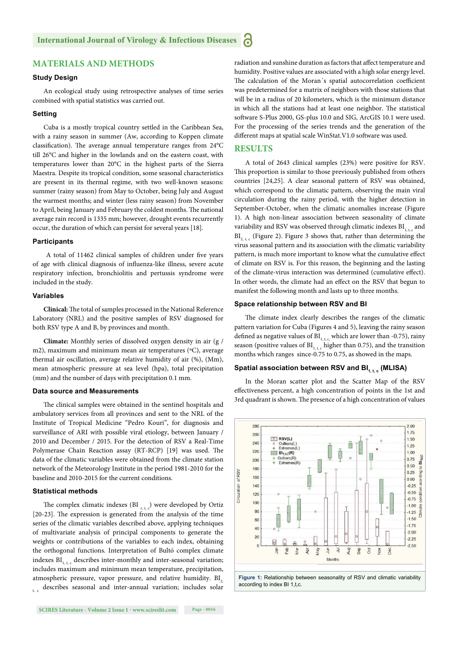# **MATERIALS AND METHODS**

#### **Study Design**

An ecological study using retrospective analyses of time series combined with spatial statistics was carried out.

#### **Setting**

Cuba is a mostly tropical country settled in the Caribbean Sea, with a rainy season in summer (Aw, according to Koppen climate classification). The average annual temperature ranges from 24°C till 26°C and higher in the lowlands and on the eastern coast, with temperatures lower than 20°C in the highest parts of the Sierra Maestra. Despite its tropical condition, some seasonal characteristics are present in its thermal regime, with two well-known seasons: summer (rainy season) from May to October, being July and August the warmest months; and winter (less rainy season) from November to April, being January and February the coldest months. The national average rain record is 1335 mm; however, drought events recurrently occur, the duration of which can persist for several years [18].

#### **Participants**

A total of 11462 clinical samples of children under five years of age with clinical diagnosis of influenza-like illness, severe acute respiratory infection, bronchiolitis and pertussis syndrome were included in the study.

#### **Variables**

**Clinical:** The total of samples processed in the National Reference Laboratory (NRL) and the positive samples of RSV diagnosed for both RSV type A and B, by provinces and month.

**Climate:** Monthly series of dissolved oxygen density in air (g / m2), maximum and minimum mean air temperatures (°C), average thermal air oscillation, average relative humidity of air (%), (Mm), mean atmospheric pressure at sea level (hpa), total precipitation (mm) and the number of days with precipitation 0.1 mm.

## **Data source and Measurements**

The clinical samples were obtained in the sentinel hospitals and ambulatory services from all provinces and sent to the NRL of the Institute of Tropical Medicine "Pedro Kouri", for diagnosis and surveillance of ARI with possible viral etiology, between January / 2010 and December / 2015. For the detection of RSV a Real-Time Polymerase Chain Reaction assay (RT-RCP) [19] was used. The data of the climatic variables were obtained from the climate station network of the Meteorology Institute in the period 1981-2010 for the baseline and 2010-2015 for the current conditions.

#### **Statistical methods**

The complex climatic indexes (BI $_{r,t,c}$ ) were developed by Ortiz [20-23]. The expression is generated from the analysis of the time series of the climatic variables described above, applying techniques of multivariate analysis of principal components to generate the weights or contributions of the variables to each index, obtaining the orthogonal functions. Interpretation of Bultó complex climate indexes  $BI_{1,1}$ , describes inter-monthly and inter-seasonal variation; includes maximum and minimum mean temperature, precipitation, atmospheric pressure, vapor pressure, and relative humidity. BI,  $_{t, c}$  describes seasonal and inter-annual variation; includes solar radiation and sunshine duration as factors that affect temperature and humidity. Positive values are associated with a high solar energy level. The calculation of the Moran's spatial autocorrelation coefficient was predetermined for a matrix of neighbors with those stations that will be in a radius of 20 kilometers, which is the minimum distance in which all the stations had at least one neighbor. The statistical soft ware S-Plus 2000, GS-plus 10.0 and SIG, ArcGIS 10.1 were used. For the processing of the series trends and the generation of the different maps at spatial scale WinStat.V1.0 software was used.

#### **RESULTS**

A total of 2643 clinical samples (23%) were positive for RSV. This proportion is similar to those previously published from others countries [24,25]. A clear seasonal pattern of RSV was obtained, which correspond to the climatic pattern, observing the main viral circulation during the rainy period, with the higher detection in September-October, when the climatic anomalies increase (Figure 1). A high non-linear association between seasonality of climate variability and RSV was observed through climatic indexes  $BI_{1,1}$  and  $BI_{2,16}$  (Figure 2). Figure 3 shows that, rather than determining the virus seasonal pattern and its association with the climatic variability pattern, is much more important to know what the cumulative effect of climate on RSV is. For this reason, the beginning and the lasting of the climate-virus interaction was determined (cumulative effect). In other words, the climate had an effect on the RSV that begun to manifest the following month and lasts up to three months.

#### **Space relationship between RSV and BI**

The climate index clearly describes the ranges of the climatic pattern variation for Cuba (Figures 4 and 5), leaving the rainy season defined as negative values of  $BI<sub>1, t, c</sub>$ , which are lower than -0.75), rainy season (positive values of  $BI<sub>1, t, c</sub>$  higher than 0.75), and the transition months which ranges since-0.75 to 0.75, as showed in the maps.

#### Spatial association between RSV and BI<sub>1, c</sub> (MLISA)

In the Moran scatter plot and the Scatter Map of the RSV effectiveness percent, a high concentration of points in the 1st and 3rd quadrant is shown. The presence of a high concentration of values

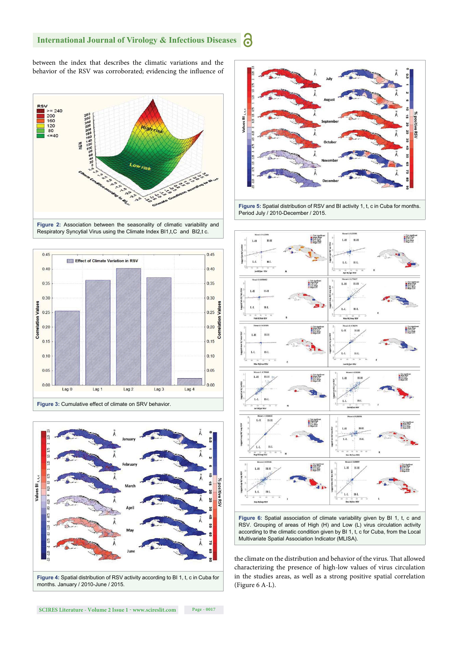between the index that describes the climatic variations and the behavior of the RSV was corroborated; evidencing the influence of





 $Laq<sub>2</sub>$ 

 $Lag<sub>3</sub>$ 

**Figure 3:** Cumulative effect of climate on SRV behavior.

Lag 1

 $0.00$ 

 $Lag<sub>0</sub>$ 



months. January / 2010-June / 2015.



**Figure 5:** Spatial distribution of RSV and BI activity 1, t, c in Cuba for months. Period July / 2010-December / 2015.



RSV. Grouping of areas of High (H) and Low (L) virus circulation activity according to the climatic condition given by BI 1, t, c for Cuba, from the Local Multivariate Spatial Association Indicator (MLISA).

the climate on the distribution and behavior of the virus. That allowed characterizing the presence of high-low values of virus circulation in the studies areas, as well as a strong positive spatial correlation (Figure 6 A-L).

 $0.00$ 

 $L$ ag 4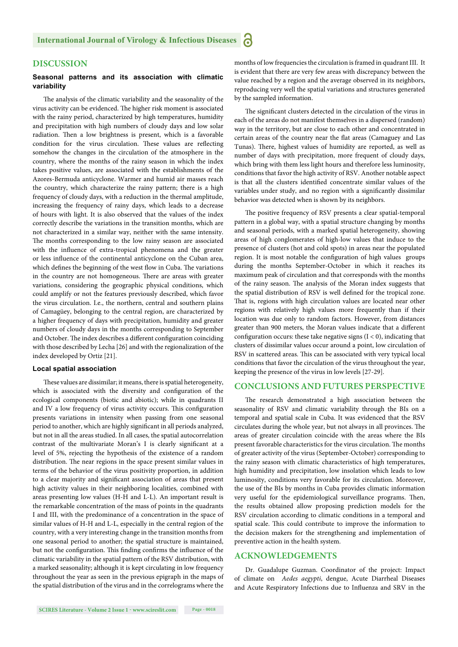# **DISCUSSION**

#### **Seasonal patterns and its association with climatic variability**

The analysis of the climatic variability and the seasonality of the virus activity can be evidenced. The higher risk moment is associated with the rainy period, characterized by high temperatures, humidity and precipitation with high numbers of cloudy days and low solar radiation. Then a low brightness is present, which is a favorable condition for the virus circulation. These values are reflecting somehow the changes in the circulation of the atmosphere in the country, where the months of the rainy season in which the index takes positive values, are associated with the establishments of the Azores-Bermuda anticyclone. Warmer and humid air masses reach the country, which characterize the rainy pattern; there is a high frequency of cloudy days, with a reduction in the thermal amplitude, increasing the frequency of rainy days, which leads to a decrease of hours with light. It is also observed that the values of the index correctly describe the variations in the transition months, which are not characterized in a similar way, neither with the same intensity. The months corresponding to the low rainy season are associated with the influence of extra-tropical phenomena and the greater or less influence of the continental anticyclone on the Cuban area, which defines the beginning of the west flow in Cuba. The variations in the country are not homogeneous. There are areas with greater variations, considering the geographic physical conditions, which could amplify or not the features previously described, which favor the virus circulation. I.e., the northern, central and southern plains of Camagüey, belonging to the central region, are characterized by a higher frequency of days with precipitation, humidity and greater numbers of cloudy days in the months corresponding to September and October. The index describes a different configuration coinciding with those described by Lecha [26] and with the regionalization of the index developed by Ortiz [21].

#### **Local spatial association**

These values are dissimilar; it means, there is spatial heterogeneity, which is associated with the diversity and configuration of the ecological components (biotic and abiotic); while in quadrants II and IV a low frequency of virus activity occurs. This configuration presents variations in intensity when passing from one seasonal period to another, which are highly significant in all periods analyzed, but not in all the areas studied. In all cases, the spatial autocorrelation contrast of the multivariate Moran's I is clearly significant at a level of 5%, rejecting the hypothesis of the existence of a random distribution. The near regions in the space present similar values in terms of the behavior of the virus positivity proportion, in addition to a clear majority and significant association of areas that present high activity values in their neighboring localities, combined with areas presenting low values (H-H and L-L). An important result is the remarkable concentration of the mass of points in the quadrants I and III, with the predominance of a concentration in the space of similar values of H-H and L-L, especially in the central region of the country, with a very interesting change in the transition months from one seasonal period to another; the spatial structure is maintained, but not the configuration. This finding confirms the influence of the climatic variability in the spatial pattern of the RSV distribution, with a marked seasonality; although it is kept circulating in low frequency throughout the year as seen in the previous epigraph in the maps of the spatial distribution of the virus and in the correlograms where the months of low frequencies the circulation is framed in quadrant III. It is evident that there are very few areas with discrepancy between the value reached by a region and the average observed in its neighbors, reproducing very well the spatial variations and structures generated by the sampled information.

The significant clusters detected in the circulation of the virus in each of the areas do not manifest themselves in a dispersed (random) way in the territory, but are close to each other and concentrated in certain areas of the country near the flat areas (Camaguey and Las Tunas). There, highest values of humidity are reported, as well as number of days with precipitation, more frequent of cloudy days, which bring with them less light hours and therefore less luminosity, conditions that favor the high activity of RSV. Another notable aspect is that all the clusters identified concentrate similar values of the variables under study, and no region with a significantly dissimilar behavior was detected when is shown by its neighbors.

The positive frequency of RSV presents a clear spatial-temporal pattern in a global way, with a spatial structure changing by months and seasonal periods, with a marked spatial heterogeneity, showing areas of high conglomerates of high-low values that induce to the presence of clusters (hot and cold spots) in areas near the populated region. It is most notable the configuration of high values groups during the months September-October in which it reaches its maximum peak of circulation and that corresponds with the months of the rainy season. The analysis of the Moran index suggests that the spatial distribution of RSV is well defined for the tropical zone. That is, regions with high circulation values are located near other regions with relatively high values more frequently than if their location was due only to random factors. However, from distances greater than 900 meters, the Moran values indicate that a different configuration occurs: these take negative signs  $(I < 0)$ , indicating that clusters of dissimilar values occur around a point, low circulation of RSV in scattered areas. This can be associated with very typical local conditions that favor the circulation of the virus throughout the year, keeping the presence of the virus in low levels [27-29].

#### **CONCLUSIONS AND FUTURES PERSPECTIVE**

The research demonstrated a high association between the seasonality of RSV and climatic variability through the BIs on a temporal and spatial scale in Cuba. It was evidenced that the RSV circulates during the whole year, but not always in all provinces. The areas of greater circulation coincide with the areas where the BIs present favorable characteristics for the virus circulation. The months of greater activity of the virus (September-October) corresponding to the rainy season with climatic characteristics of high temperatures, high humidity and precipitation, low insolation which leads to low luminosity, conditions very favorable for its circulation. Moreover, the use of the BIs by months in Cuba provides climatic information very useful for the epidemiological surveillance programs. Then, the results obtained allow proposing prediction models for the RSV circulation according to climatic conditions in a temporal and spatial scale. This could contribute to improve the information to the decision makers for the strengthening and implementation of preventive action in the health system.

#### **ACKNOWLEDGEMENTS**

Dr. Guadalupe Guzman. Coordinator of the project: Impact of climate on *Aedes aegypti*, dengue, Acute Diarrheal Diseases and Acute Respiratory Infections due to Influenza and SRV in the